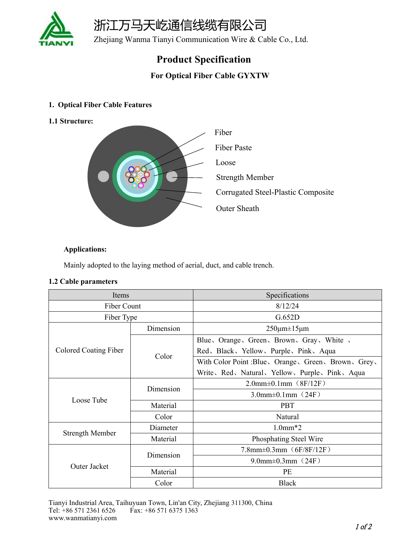

浙江万马天屹通信线缆有限公司

Zhejiang Wanma Tianyi Communication Wire & Cable Co., Ltd.

## **Product Specification**

### **For Optical Fiber Cable GYXTW**

#### **1. Optical Fiber Cable Features**

**1.1 Structure:**



#### **Applications:**

Mainly adopted to the laying method of aerial, duct, and cable trench.

#### **1.2 Cable parameters**

| Items                 |           | Specifications                                  |  |
|-----------------------|-----------|-------------------------------------------------|--|
| Fiber Count           |           | 8/12/24                                         |  |
| Fiber Type            |           | G.652D                                          |  |
| Colored Coating Fiber | Dimension | $250 \mu m \pm 15 \mu m$                        |  |
|                       | Color     | Blue、Orange、Green、Brown、Gray、White              |  |
|                       |           | Red、Black、Yellow、Purple、Pink、Aqua               |  |
|                       |           | With Color Point :Blue、Orange、Green、Brown、Grey、 |  |
|                       |           | Write, Red, Natural, Yellow, Purple, Pink, Aqua |  |
| Loose Tube            | Dimension | $2.0$ mm $\pm 0.1$ mm $(SF/12F)$                |  |
|                       |           | $3.0$ mm $\pm 0.1$ mm $(24F)$                   |  |
|                       | Material  | <b>PBT</b>                                      |  |
|                       | Color     | Natural                                         |  |
| Strength Member       | Diameter  | $1.0mm*2$                                       |  |
|                       | Material  | Phosphating Steel Wire                          |  |
| Outer Jacket          | Dimension | $7.8$ mm $\pm 0.3$ mm $(6F/8F/12F)$             |  |
|                       |           | 9.0mm $\pm$ 0.3mm $(24F)$                       |  |
|                       | Material  | PE                                              |  |
|                       | Color     | <b>Black</b>                                    |  |